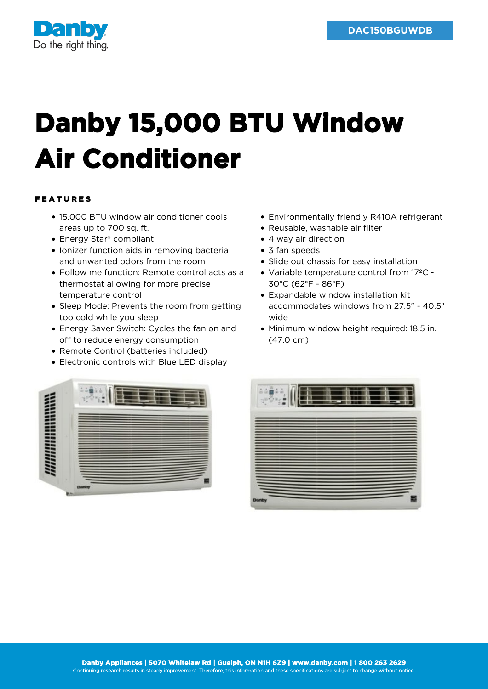

## **Danby 15,000 BTU Window Air Conditioner**

## FEATURES

- 15,000 BTU window air conditioner cools areas up to 700 sq. ft.
- Energy Star<sup>®</sup> compliant
- Ionizer function aids in removing bacteria and unwanted odors from the room
- Follow me function: Remote control acts as a thermostat allowing for more precise temperature control
- Sleep Mode: Prevents the room from getting too cold while you sleep
- Energy Saver Switch: Cycles the fan on and off to reduce energy consumption
- Remote Control (batteries included)
- Electronic controls with Blue LED display
- Environmentally friendly R410A refrigerant
- Reusable, washable air filter
- 4 way air direction
- 3 fan speeds
- Slide out chassis for easy installation
- Variable temperature control from 17ºC 30ºC (62ºF - 86ºF)
- Expandable window installation kit accommodates windows from 27.5" - 40.5" wide
- Minimum window height required: 18.5 in. (47.0 cm)